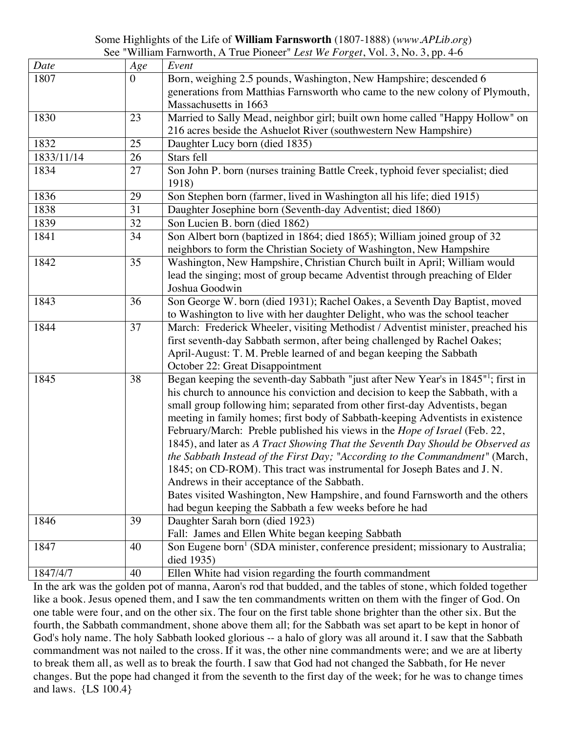## Some Highlights of the Life of **William Farnsworth** (1807-1888) (*www.APLib.org*) See "William Farnworth, A True Pioneer" *Lest We Forget*, Vol. 3, No. 3, pp. 4-6

| Date       | Age            | Event                                                                                         |
|------------|----------------|-----------------------------------------------------------------------------------------------|
| 1807       | $\overline{0}$ | Born, weighing 2.5 pounds, Washington, New Hampshire; descended 6                             |
|            |                | generations from Matthias Farnsworth who came to the new colony of Plymouth,                  |
|            |                | Massachusetts in 1663                                                                         |
| 1830       | 23             | Married to Sally Mead, neighbor girl; built own home called "Happy Hollow" on                 |
|            |                | 216 acres beside the Ashuelot River (southwestern New Hampshire)                              |
| 1832       | 25             | Daughter Lucy born (died 1835)                                                                |
| 1833/11/14 | 26             | Stars fell                                                                                    |
| 1834       | 27             | Son John P. born (nurses training Battle Creek, typhoid fever specialist; died                |
|            |                | 1918)                                                                                         |
| 1836       | 29             | Son Stephen born (farmer, lived in Washington all his life; died 1915)                        |
| 1838       | 31             | Daughter Josephine born (Seventh-day Adventist; died 1860)                                    |
| 1839       | 32             | Son Lucien B. born (died 1862)                                                                |
| 1841       | 34             | Son Albert born (baptized in 1864; died 1865); William joined group of 32                     |
|            |                | neighbors to form the Christian Society of Washington, New Hampshire                          |
| 1842       | 35             | Washington, New Hampshire, Christian Church built in April; William would                     |
|            |                | lead the singing; most of group became Adventist through preaching of Elder                   |
|            |                | Joshua Goodwin                                                                                |
| 1843       | 36             | Son George W. born (died 1931); Rachel Oakes, a Seventh Day Baptist, moved                    |
|            |                | to Washington to live with her daughter Delight, who was the school teacher                   |
| 1844       | 37             | March: Frederick Wheeler, visiting Methodist / Adventist minister, preached his               |
|            |                | first seventh-day Sabbath sermon, after being challenged by Rachel Oakes;                     |
|            |                | April-August: T. M. Preble learned of and began keeping the Sabbath                           |
|            |                | October 22: Great Disappointment                                                              |
| 1845       | 38             | Began keeping the seventh-day Sabbath "just after New Year's in 1845" <sup>1</sup> ; first in |
|            |                | his church to announce his conviction and decision to keep the Sabbath, with a                |
|            |                | small group following him; separated from other first-day Adventists, began                   |
|            |                | meeting in family homes; first body of Sabbath-keeping Adventists in existence                |
|            |                | February/March: Preble published his views in the <i>Hope of Israel</i> (Feb. 22,             |
|            |                | 1845), and later as A Tract Showing That the Seventh Day Should be Observed as                |
|            |                | the Sabbath Instead of the First Day; "According to the Commandment" (March,                  |
|            |                | 1845; on CD-ROM). This tract was instrumental for Joseph Bates and J.N.                       |
|            |                | Andrews in their acceptance of the Sabbath.                                                   |
|            |                | Bates visited Washington, New Hampshire, and found Farnsworth and the others                  |
|            |                | had begun keeping the Sabbath a few weeks before he had                                       |
| 1846       | 39             | Daughter Sarah born (died 1923)                                                               |
|            |                | Fall: James and Ellen White began keeping Sabbath                                             |
| 1847       | 40             | Son Eugene born <sup>1</sup> (SDA minister, conference president; missionary to Australia;    |
|            |                | died 1935)                                                                                    |
| 1847/4/7   | 40             | Ellen White had vision regarding the fourth commandment                                       |

In the ark was the golden pot of manna, Aaron's rod that budded, and the tables of stone, which folded together like a book. Jesus opened them, and I saw the ten commandments written on them with the finger of God. On one table were four, and on the other six. The four on the first table shone brighter than the other six. But the fourth, the Sabbath commandment, shone above them all; for the Sabbath was set apart to be kept in honor of God's holy name. The holy Sabbath looked glorious -- a halo of glory was all around it. I saw that the Sabbath commandment was not nailed to the cross. If it was, the other nine commandments were; and we are at liberty to break them all, as well as to break the fourth. I saw that God had not changed the Sabbath, for He never changes. But the pope had changed it from the seventh to the first day of the week; for he was to change times and laws. {LS 100.4}